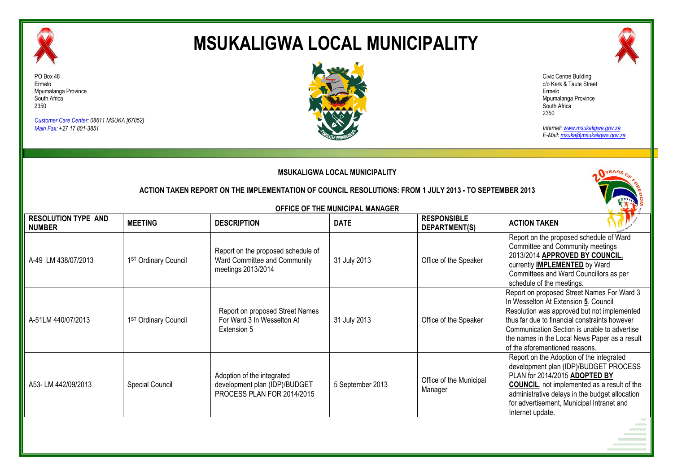

# **MSUKALIGWA LOCAL MUNICIPALITY**



*Customer Care Center: 08611 MSUKA [67852] Main Fax: +27 17 801-3851*





*Internet: www.msukaligwa.gov.za E-Mail: msuka@msukaligwa.gov.za*

| <b>MSUKALIGWA LOCAL MUNICIPALITY</b>        |                                                                                                        |                                                                                           |                                 |                                     |                                                                                                                                                                                                                                                                                                                       |  |  |
|---------------------------------------------|--------------------------------------------------------------------------------------------------------|-------------------------------------------------------------------------------------------|---------------------------------|-------------------------------------|-----------------------------------------------------------------------------------------------------------------------------------------------------------------------------------------------------------------------------------------------------------------------------------------------------------------------|--|--|
|                                             | ACTION TAKEN REPORT ON THE IMPLEMENTATION OF COUNCIL RESOLUTIONS: FROM 1 JULY 2013 - TO SEPTEMBER 2013 |                                                                                           |                                 |                                     |                                                                                                                                                                                                                                                                                                                       |  |  |
|                                             |                                                                                                        |                                                                                           | OFFICE OF THE MUNICIPAL MANAGER |                                     |                                                                                                                                                                                                                                                                                                                       |  |  |
| <b>RESOLUTION TYPE AND</b><br><b>NUMBER</b> | <b>MEETING</b>                                                                                         | <b>DESCRIPTION</b>                                                                        | <b>DATE</b>                     | <b>RESPONSIBLE</b><br>DEPARTMENT(S) | <b>ACTION TAKEN</b>                                                                                                                                                                                                                                                                                                   |  |  |
| A-49 LM 438/07/2013                         | 1ST Ordinary Council                                                                                   | Report on the proposed schedule of<br>Ward Committee and Community<br>meetings 2013/2014  | 31 July 2013                    | Office of the Speaker               | Report on the proposed schedule of Ward<br>Committee and Community meetings<br>2013/2014 APPROVED BY COUNCIL,<br>currently <b>IMPLEMENTED</b> by Ward<br>Committees and Ward Councillors as per<br>schedule of the meetings.                                                                                          |  |  |
| A-51LM 440/07/2013                          | 1ST Ordinary Council                                                                                   | Report on proposed Street Names<br>For Ward 3 In Wesselton At<br>Extension 5              | 31 July 2013                    | Office of the Speaker               | Report on proposed Street Names For Ward 3<br>In Wesselton At Extension 5. Council<br>Resolution was approved but not implemented<br>thus far due to financial constraints however<br>Communication Section is unable to advertise<br>the names in the Local News Paper as a result<br>of the aforementioned reasons. |  |  |
| A53-LM 442/09/2013                          | Special Council                                                                                        | Adoption of the integrated<br>development plan (IDP)/BUDGET<br>PROCESS PLAN FOR 2014/2015 | 5 September 2013                | Office of the Municipal<br>Manager  | Report on the Adoption of the integrated<br>development plan (IDP)/BUDGET PROCESS<br>PLAN for 2014/2015 ADOPTED BY<br><b>COUNCIL, not implemented as a result of the</b><br>administrative delays in the budget allocation<br>for advertisement, Municipal Intranet and<br>Internet update.                           |  |  |
|                                             |                                                                                                        |                                                                                           |                                 |                                     |                                                                                                                                                                                                                                                                                                                       |  |  |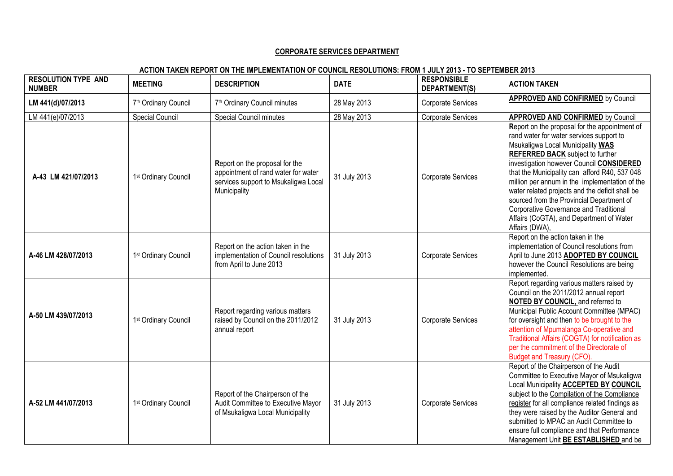## **CORPORATE SERVICES DEPARTMENT**

# **ACTION TAKEN REPORT ON THE IMPLEMENTATION OF COUNCIL RESOLUTIONS: FROM 1 JULY 2013 - TO SEPTEMBER 2013**

| <b>RESOLUTION TYPE AND</b><br><b>NUMBER</b> | <b>MEETING</b>         | <b>DESCRIPTION</b>                                                                                                            | <b>DATE</b>  | <b>RESPONSIBLE</b><br>DEPARTMENT(S) | <b>ACTION TAKEN</b>                                                                                                                                                                                                                                                                                                                                                                                                                                                                                                              |
|---------------------------------------------|------------------------|-------------------------------------------------------------------------------------------------------------------------------|--------------|-------------------------------------|----------------------------------------------------------------------------------------------------------------------------------------------------------------------------------------------------------------------------------------------------------------------------------------------------------------------------------------------------------------------------------------------------------------------------------------------------------------------------------------------------------------------------------|
| LM 441(d)/07/2013                           | 7th Ordinary Council   | 7 <sup>th</sup> Ordinary Council minutes                                                                                      | 28 May 2013  | Corporate Services                  | <b>APPROVED AND CONFIRMED by Council</b>                                                                                                                                                                                                                                                                                                                                                                                                                                                                                         |
| LM 441(e)/07/2013                           | <b>Special Council</b> | Special Council minutes                                                                                                       | 28 May 2013  | Corporate Services                  | <b>APPROVED AND CONFIRMED by Council</b>                                                                                                                                                                                                                                                                                                                                                                                                                                                                                         |
| A-43 LM 421/07/2013                         | 1st Ordinary Council   | Report on the proposal for the<br>appointment of rand water for water<br>services support to Msukaligwa Local<br>Municipality | 31 July 2013 | Corporate Services                  | Report on the proposal for the appointment of<br>rand water for water services support to<br>Msukaligwa Local Municipality WAS<br><b>REFERRED BACK</b> subject to further<br>investigation however Council CONSIDERED<br>that the Municipality can afford R40, 537 048<br>million per annum in the implementation of the<br>water related projects and the deficit shall be<br>sourced from the Provincial Department of<br>Corporative Governance and Traditional<br>Affairs (CoGTA), and Department of Water<br>Affairs (DWA), |
| A-46 LM 428/07/2013                         | 1st Ordinary Council   | Report on the action taken in the<br>implementation of Council resolutions<br>from April to June 2013                         | 31 July 2013 | Corporate Services                  | Report on the action taken in the<br>implementation of Council resolutions from<br>April to June 2013 ADOPTED BY COUNCIL<br>however the Council Resolutions are being<br>implemented.                                                                                                                                                                                                                                                                                                                                            |
| A-50 LM 439/07/2013                         | 1st Ordinary Council   | Report regarding various matters<br>raised by Council on the 2011/2012<br>annual report                                       | 31 July 2013 | Corporate Services                  | Report regarding various matters raised by<br>Council on the 2011/2012 annual report<br>NOTED BY COUNCIL, and referred to<br>Municipal Public Account Committee (MPAC)<br>for oversight and then to be brought to the<br>attention of Mpumalanga Co-operative and<br>Traditional Affairs (COGTA) for notification as<br>per the commitment of the Directorate of<br>Budget and Treasury (CFO).                                                                                                                                   |
| A-52 LM 441/07/2013                         | 1st Ordinary Council   | Report of the Chairperson of the<br>Audit Committee to Executive Mayor<br>of Msukaligwa Local Municipality                    | 31 July 2013 | Corporate Services                  | Report of the Chairperson of the Audit<br>Committee to Executive Mayor of Msukaligwa<br>Local Municipality ACCEPTED BY COUNCIL<br>subject to the Compilation of the Compliance<br>register for all compliance related findings as<br>they were raised by the Auditor General and<br>submitted to MPAC an Audit Committee to<br>ensure full compliance and that Performance<br>Management Unit BE ESTABLISHED and be                                                                                                              |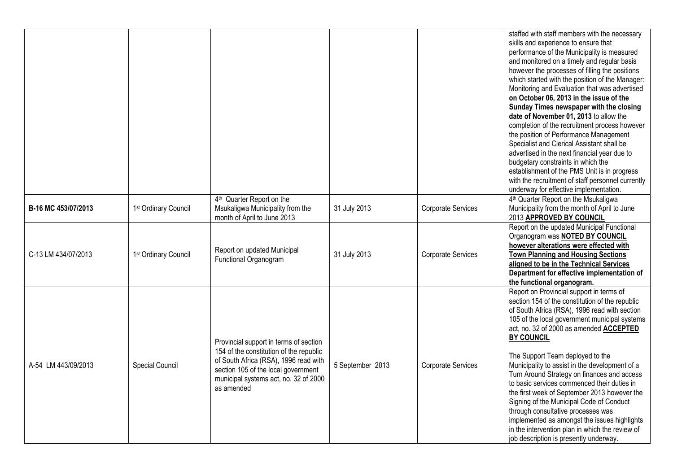|                     |                                  |                                         |                  |                    | staffed with staff members with the necessary<br>skills and experience to ensure that |
|---------------------|----------------------------------|-----------------------------------------|------------------|--------------------|---------------------------------------------------------------------------------------|
|                     |                                  |                                         |                  |                    | performance of the Municipality is measured                                           |
|                     |                                  |                                         |                  |                    | and monitored on a timely and regular basis                                           |
|                     |                                  |                                         |                  |                    | however the processes of filling the positions                                        |
|                     |                                  |                                         |                  |                    | which started with the position of the Manager:                                       |
|                     |                                  |                                         |                  |                    | Monitoring and Evaluation that was advertised                                         |
|                     |                                  |                                         |                  |                    | on October 06, 2013 in the issue of the                                               |
|                     |                                  |                                         |                  |                    | Sunday Times newspaper with the closing                                               |
|                     |                                  |                                         |                  |                    | date of November 01, 2013 to allow the                                                |
|                     |                                  |                                         |                  |                    | completion of the recruitment process however                                         |
|                     |                                  |                                         |                  |                    | the position of Performance Management                                                |
|                     |                                  |                                         |                  |                    | Specialist and Clerical Assistant shall be                                            |
|                     |                                  |                                         |                  |                    | advertised in the next financial year due to                                          |
|                     |                                  |                                         |                  |                    | budgetary constraints in which the                                                    |
|                     |                                  |                                         |                  |                    | establishment of the PMS Unit is in progress                                          |
|                     |                                  |                                         |                  |                    | with the recruitment of staff personnel currently                                     |
|                     |                                  |                                         |                  |                    | underway for effective implementation.                                                |
|                     |                                  | 4 <sup>th</sup> Quarter Report on the   |                  |                    | 4th Quarter Report on the Msukaligwa                                                  |
| B-16 MC 453/07/2013 | 1 <sup>st</sup> Ordinary Council | Msukaligwa Municipality from the        | 31 July 2013     | Corporate Services | Municipality from the month of April to June                                          |
|                     |                                  | month of April to June 2013             |                  |                    | 2013 APPROVED BY COUNCIL                                                              |
|                     |                                  |                                         |                  |                    | Report on the updated Municipal Functional                                            |
|                     |                                  |                                         |                  |                    | Organogram was <b>NOTED BY COUNCIL</b>                                                |
|                     |                                  | Report on updated Municipal             |                  |                    | however alterations were effected with                                                |
| C-13 LM 434/07/2013 | 1 <sup>st</sup> Ordinary Council | Functional Organogram                   | 31 July 2013     | Corporate Services | <b>Town Planning and Housing Sections</b>                                             |
|                     |                                  |                                         |                  |                    | aligned to be in the Technical Services<br>Department for effective implementation of |
|                     |                                  |                                         |                  |                    | the functional organogram.                                                            |
|                     |                                  |                                         |                  |                    | Report on Provincial support in terms of                                              |
|                     |                                  |                                         |                  |                    | section 154 of the constitution of the republic                                       |
|                     |                                  |                                         |                  |                    | of South Africa (RSA), 1996 read with section                                         |
|                     |                                  |                                         |                  |                    | 105 of the local government municipal systems                                         |
|                     |                                  |                                         |                  |                    | act, no. 32 of 2000 as amended ACCEPTED                                               |
|                     |                                  |                                         |                  |                    | <b>BY COUNCIL</b>                                                                     |
|                     |                                  | Provincial support in terms of section  |                  |                    |                                                                                       |
|                     |                                  | 154 of the constitution of the republic |                  |                    | The Support Team deployed to the                                                      |
| A-54 LM 443/09/2013 | Special Council                  | of South Africa (RSA), 1996 read with   | 5 September 2013 | Corporate Services | Municipality to assist in the development of a                                        |
|                     |                                  | section 105 of the local government     |                  |                    | Turn Around Strategy on finances and access                                           |
|                     |                                  | municipal systems act, no. 32 of 2000   |                  |                    | to basic services commenced their duties in                                           |
|                     |                                  | as amended                              |                  |                    | the first week of September 2013 however the                                          |
|                     |                                  |                                         |                  |                    | Signing of the Municipal Code of Conduct                                              |
|                     |                                  |                                         |                  |                    | through consultative processes was                                                    |
|                     |                                  |                                         |                  |                    | implemented as amongst the issues highlights                                          |
|                     |                                  |                                         |                  |                    | in the intervention plan in which the review of                                       |
|                     |                                  |                                         |                  |                    | job description is presently underway.                                                |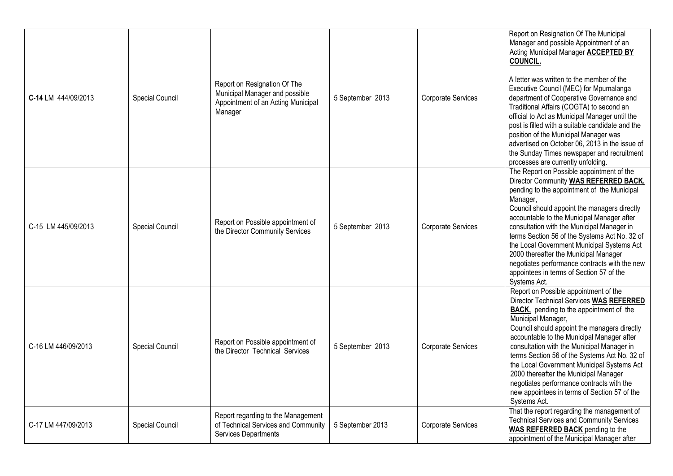| C-14 LM 444/09/2013 | Special Council | Report on Resignation Of The<br>Municipal Manager and possible<br>Appointment of an Acting Municipal<br>Manager | 5 September 2013 | Corporate Services | Report on Resignation Of The Municipal<br>Manager and possible Appointment of an<br>Acting Municipal Manager <b>ACCEPTED BY</b><br><b>COUNCIL.</b><br>A letter was written to the member of the<br>Executive Council (MEC) for Mpumalanga<br>department of Cooperative Governance and<br>Traditional Affairs (COGTA) to second an<br>official to Act as Municipal Manager until the<br>post is filled with a suitable candidate and the<br>position of the Municipal Manager was<br>advertised on October 06, 2013 in the issue of<br>the Sunday Times newspaper and recruitment<br>processes are currently unfolding. |
|---------------------|-----------------|-----------------------------------------------------------------------------------------------------------------|------------------|--------------------|------------------------------------------------------------------------------------------------------------------------------------------------------------------------------------------------------------------------------------------------------------------------------------------------------------------------------------------------------------------------------------------------------------------------------------------------------------------------------------------------------------------------------------------------------------------------------------------------------------------------|
| C-15 LM 445/09/2013 | Special Council | Report on Possible appointment of<br>the Director Community Services                                            | 5 September 2013 | Corporate Services | The Report on Possible appointment of the<br>Director Community WAS REFERRED BACK,<br>pending to the appointment of the Municipal<br>Manager,<br>Council should appoint the managers directly<br>accountable to the Municipal Manager after<br>consultation with the Municipal Manager in<br>terms Section 56 of the Systems Act No. 32 of<br>the Local Government Municipal Systems Act<br>2000 thereafter the Municipal Manager<br>negotiates performance contracts with the new<br>appointees in terms of Section 57 of the<br>Systems Act.                                                                         |
| C-16 LM 446/09/2013 | Special Council | Report on Possible appointment of<br>the Director Technical Services                                            | 5 September 2013 | Corporate Services | Report on Possible appointment of the<br>Director Technical Services WAS REFERRED<br><b>BACK</b> , pending to the appointment of the<br>Municipal Manager,<br>Council should appoint the managers directly<br>accountable to the Municipal Manager after<br>consultation with the Municipal Manager in<br>terms Section 56 of the Systems Act No. 32 of<br>the Local Government Municipal Systems Act<br>2000 thereafter the Municipal Manager<br>negotiates performance contracts with the<br>new appointees in terms of Section 57 of the<br>Systems Act.                                                            |
| C-17 LM 447/09/2013 | Special Council | Report regarding to the Management<br>of Technical Services and Community<br>Services Departments               | 5 September 2013 | Corporate Services | That the report regarding the management of<br><b>Technical Services and Community Services</b><br><b>WAS REFERRED BACK</b> pending to the<br>appointment of the Municipal Manager after                                                                                                                                                                                                                                                                                                                                                                                                                               |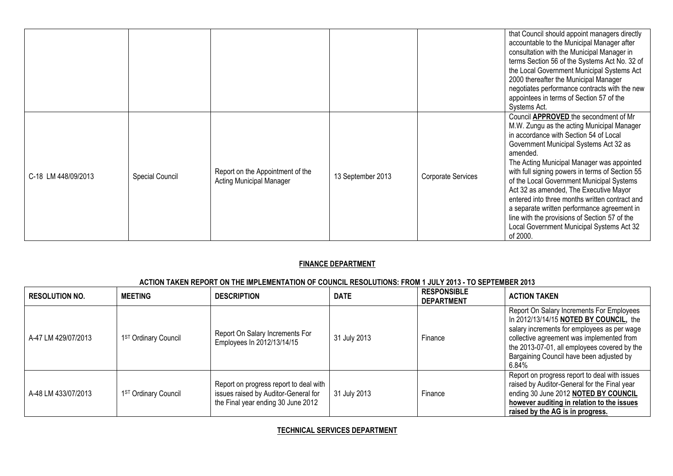|                     |                 |                                                                     |                   |                           | that Council should appoint managers directly<br>accountable to the Municipal Manager after<br>consultation with the Municipal Manager in<br>terms Section 56 of the Systems Act No. 32 of<br>the Local Government Municipal Systems Act<br>2000 thereafter the Municipal Manager<br>negotiates performance contracts with the new<br>appointees in terms of Section 57 of the<br>Systems Act.                                                                                                                                                                                         |
|---------------------|-----------------|---------------------------------------------------------------------|-------------------|---------------------------|----------------------------------------------------------------------------------------------------------------------------------------------------------------------------------------------------------------------------------------------------------------------------------------------------------------------------------------------------------------------------------------------------------------------------------------------------------------------------------------------------------------------------------------------------------------------------------------|
| C-18 LM 448/09/2013 | Special Council | Report on the Appointment of the<br><b>Acting Municipal Manager</b> | 13 September 2013 | <b>Corporate Services</b> | Council APPROVED the secondment of Mr<br>M.W. Zungu as the acting Municipal Manager<br>in accordance with Section 54 of Local<br>Government Municipal Systems Act 32 as<br>amended.<br>The Acting Municipal Manager was appointed<br>with full signing powers in terms of Section 55<br>of the Local Government Municipal Systems<br>Act 32 as amended, The Executive Mayor<br>entered into three months written contract and<br>a separate written performance agreement in<br>line with the provisions of Section 57 of the<br>Local Government Municipal Systems Act 32<br>of 2000. |

# **FINANCE DEPARTMENT**

# **ACTION TAKEN REPORT ON THE IMPLEMENTATION OF COUNCIL RESOLUTIONS: FROM 1 JULY 2013 - TO SEPTEMBER 2013**

| <b>RESOLUTION NO.</b> | <b>MEETING</b>       | <b>DESCRIPTION</b>                                                                                                   | <b>DATE</b>  | <b>RESPONSIBLE</b><br><b>DEPARTMENT</b> | <b>ACTION TAKEN</b>                                                                                                                                                                                                                                                                  |
|-----------------------|----------------------|----------------------------------------------------------------------------------------------------------------------|--------------|-----------------------------------------|--------------------------------------------------------------------------------------------------------------------------------------------------------------------------------------------------------------------------------------------------------------------------------------|
| A-47 LM 429/07/2013   | 1ST Ordinary Council | Report On Salary Increments For<br>Employees In 2012/13/14/15                                                        | 31 July 2013 | Finance                                 | Report On Salary Increments For Employees<br>In 2012/13/14/15 NOTED BY COUNCIL, the<br>salary increments for employees as per wage<br>collective agreement was implemented from<br>the 2013-07-01, all employees covered by the<br>Bargaining Council have been adjusted by<br>6.84% |
| A-48 LM 433/07/2013   | 1ST Ordinary Council | Report on progress report to deal with<br>issues raised by Auditor-General for<br>the Final year ending 30 June 2012 | 31 July 2013 | Finance                                 | Report on progress report to deal with issues<br>raised by Auditor-General for the Final year<br>ending 30 June 2012 NOTED BY COUNCIL<br>however auditing in relation to the issues<br>raised by the AG is in progress.                                                              |

# **TECHNICAL SERVICES DEPARTMENT**